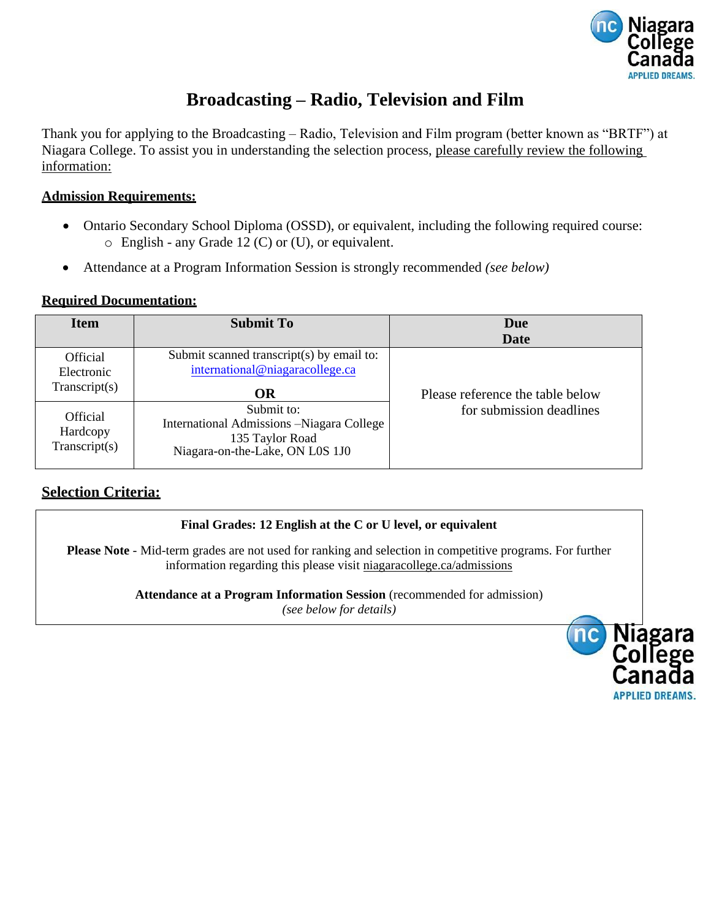

# **Broadcasting – Radio, Television and Film**

Thank you for applying to the Broadcasting – Radio, Television and Film program (better known as "BRTF") at Niagara College. To assist you in understanding the selection process, please carefully review the following information:

#### **Admission Requirements:**

- Ontario Secondary School Diploma (OSSD), or equivalent, including the following required course: o English - any Grade 12 (C) or (U), or equivalent.
- Attendance at a Program Information Session is strongly recommended *(see below)*

#### **Required Documentation:**

| <b>Item</b>                                  | <b>Submit To</b>                                                                                              | Due<br>Date                      |
|----------------------------------------------|---------------------------------------------------------------------------------------------------------------|----------------------------------|
| Official<br>Electronic<br>Transcript(s)      | Submit scanned transcript(s) by email to:<br>international@niagaracollege.ca<br>OR                            | Please reference the table below |
| <b>Official</b><br>Hardcopy<br>Transcript(s) | Submit to:<br>International Admissions -Niagara College<br>135 Taylor Road<br>Niagara-on-the-Lake, ON L0S 1J0 | for submission deadlines         |

### **Selection Criteria:**

#### **Final Grades: 12 English at the C or U level, or equivalent**

**Please Note** - Mid-term grades are not used for ranking and selection in competitive programs. For further information regarding this please visit niagaracollege.ca/admissions

**Attendance at a Program Information Session** (recommended for admission)

*(see below for details)*